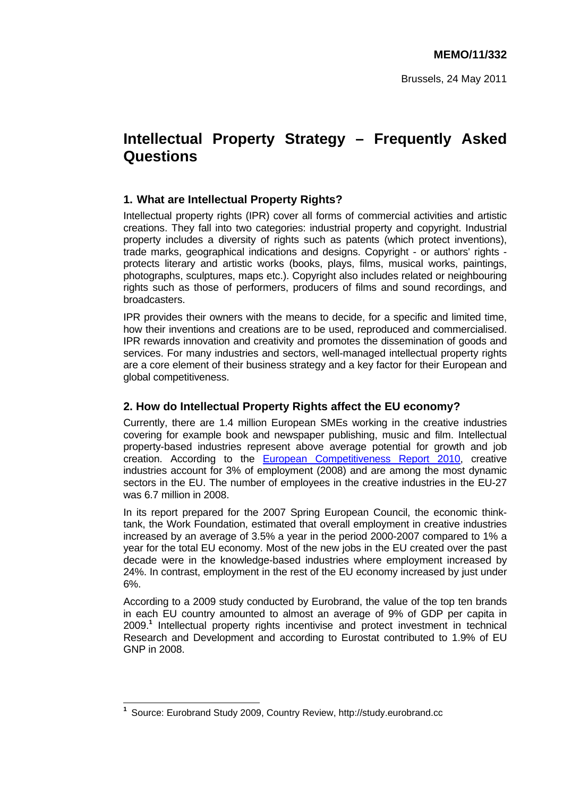# **Intellectual Property Strategy – Frequently Asked Questions**

# **1. What are Intellectual Property Rights?**

Intellectual property rights (IPR) cover all forms of commercial activities and artistic creations. They fall into two categories: industrial property and copyright. Industrial property includes a diversity of rights such as patents (which protect inventions), trade marks, geographical indications and designs. Copyright - or authors' rights protects literary and artistic works (books, plays, films, musical works, paintings, photographs, sculptures, maps etc.). Copyright also includes related or neighbouring rights such as those of performers, producers of films and sound recordings, and broadcasters.

IPR provides their owners with the means to decide, for a specific and limited time, how their inventions and creations are to be used, reproduced and commercialised. IPR rewards innovation and creativity and promotes the dissemination of goods and services. For many industries and sectors, well-managed intellectual property rights are a core element of their business strategy and a key factor for their European and global competitiveness.

# **2. How do Intellectual Property Rights affect the EU economy?**

Currently, there are 1.4 million European SMEs working in the creative industries covering for example book and newspaper publishing, music and film. Intellectual property-based industries represent above average potential for growth and job creation. According to the [European Competitiveness Report 2010,](http://ec.europa.eu/enterprise/newsroom/cf/_getdocument.cfm?doc_id=6222) creative industries account for 3% of employment (2008) and are among the most dynamic sectors in the EU. The number of employees in the creative industries in the EU-27 was 6.7 million in 2008.

In its report prepared for the 2007 Spring European Council, the economic thinktank, the Work Foundation, estimated that overall employment in creative industries increased by an average of 3.5% a year in the period 2000-2007 compared to 1% a year for the total EU economy. Most of the new jobs in the EU created over the past decade were in the knowledge-based industries where employment increased by 24%. In contrast, employment in the rest of the EU economy increased by just under 6%.

According to a 2009 study conducted by Eurobrand, the value of the top ten brands in each EU country amounted to almost an average of 9% of GDP per capita in 2009.**<sup>1</sup>** Intellectual property rights incentivise and protect investment in technical Research and Development and according to Eurostat contributed to 1.9% of EU GNP in 2008.

 $\overline{\phantom{a}}$ **1** Source: Eurobrand Study 2009, Country Review, http://study.eurobrand.cc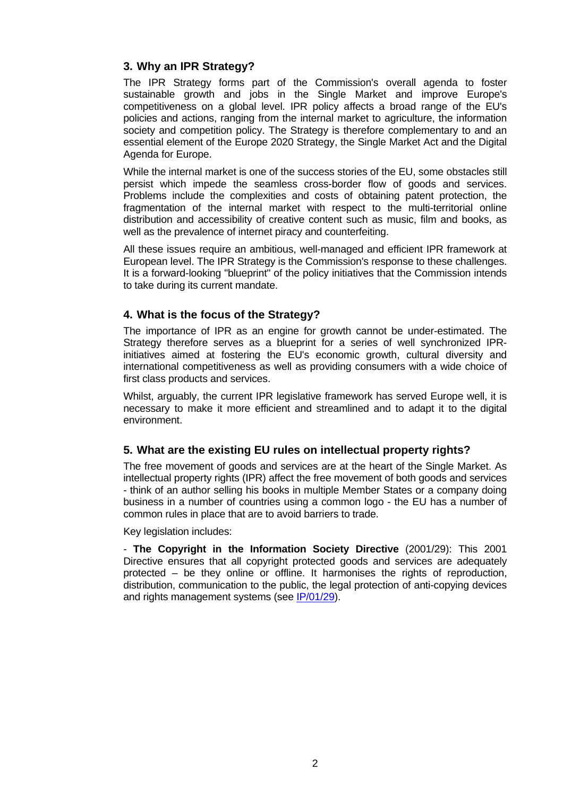# **3. Why an IPR Strategy?**

The IPR Strategy forms part of the Commission's overall agenda to foster sustainable growth and jobs in the Single Market and improve Europe's competitiveness on a global level. IPR policy affects a broad range of the EU's policies and actions, ranging from the internal market to agriculture, the information society and competition policy. The Strategy is therefore complementary to and an essential element of the Europe 2020 Strategy, the Single Market Act and the Digital Agenda for Europe.

While the internal market is one of the success stories of the EU, some obstacles still persist which impede the seamless cross-border flow of goods and services. Problems include the complexities and costs of obtaining patent protection, the fragmentation of the internal market with respect to the multi-territorial online distribution and accessibility of creative content such as music, film and books, as well as the prevalence of internet piracy and counterfeiting.

All these issues require an ambitious, well-managed and efficient IPR framework at European level. The IPR Strategy is the Commission's response to these challenges. It is a forward-looking "blueprint" of the policy initiatives that the Commission intends to take during its current mandate.

# **4. What is the focus of the Strategy?**

The importance of IPR as an engine for growth cannot be under-estimated. The Strategy therefore serves as a blueprint for a series of well synchronized IPRinitiatives aimed at fostering the EU's economic growth, cultural diversity and international competitiveness as well as providing consumers with a wide choice of first class products and services.

Whilst, arguably, the current IPR legislative framework has served Europe well, it is necessary to make it more efficient and streamlined and to adapt it to the digital environment.

#### **5. What are the existing EU rules on intellectual property rights?**

The free movement of goods and services are at the heart of the Single Market. As intellectual property rights (IPR) affect the free movement of both goods and services - think of an author selling his books in multiple Member States or a company doing business in a number of countries using a common logo - the EU has a number of common rules in place that are to avoid barriers to trade.

Key legislation includes:

- **The Copyright in the Information Society Directive** (2001/29): This 2001 Directive ensures that all copyright protected goods and services are adequately protected – be they online or offline. It harmonises the rights of reproduction, distribution, communication to the public, the legal protection of anti-copying devices and rights management systems (see [IP/01/29\)](http://europa.eu/rapid/pressReleasesAction.do?reference=IP/01/528&format=HTML&aged=1&language=EN&guiLanguage=en).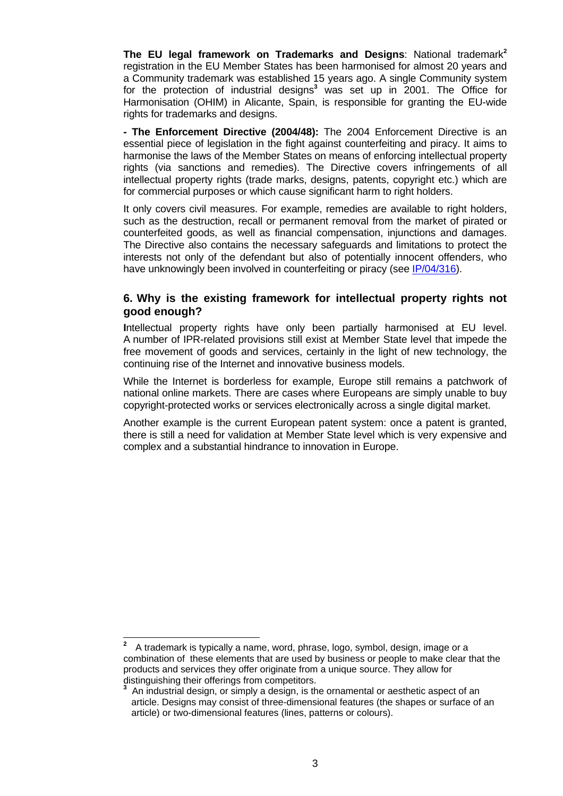**The EU legal framework on Trademarks and Designs**: National trademark**<sup>2</sup>** registration in the EU Member States has been harmonised for almost 20 years and a Community trademark was established 15 years ago. A single Community system for the protection of industrial designs**<sup>3</sup>** was set up in 2001. The Office for Harmonisation (OHIM) in Alicante, Spain, is responsible for granting the EU-wide rights for trademarks and designs.

**- The Enforcement Directive (2004/48):** The 2004 Enforcement Directive is an essential piece of legislation in the fight against counterfeiting and piracy. It aims to harmonise the laws of the Member States on means of enforcing intellectual property rights (via sanctions and remedies). The Directive covers infringements of all intellectual property rights (trade marks, designs, patents, copyright etc.) which are for commercial purposes or which cause significant harm to right holders.

It only covers civil measures. For example, remedies are available to right holders, such as the destruction, recall or permanent removal from the market of pirated or counterfeited goods, as well as financial compensation, injunctions and damages. The Directive also contains the necessary safeguards and limitations to protect the interests not only of the defendant but also of potentially innocent offenders, who have unknowingly been involved in counterfeiting or piracy (see [IP/04/316\)](http://europa.eu/rapid/pressReleasesAction.do?reference=IP/04/316&format=HTML&aged=1&language=EN&guiLanguage=en).

#### **6. Why is the existing framework for intellectual property rights not good enough?**

**I**ntellectual property rights have only been partially harmonised at EU level. A number of IPR-related provisions still exist at Member State level that impede the free movement of goods and services, certainly in the light of new technology, the continuing rise of the Internet and innovative business models.

While the Internet is borderless for example, Europe still remains a patchwork of national online markets. There are cases where Europeans are simply unable to buy copyright-protected works or services electronically across a single digital market.

Another example is the current European patent system: once a patent is granted, there is still a need for validation at Member State level which is very expensive and complex and a substantial hindrance to innovation in Europe.

 $\overline{\phantom{a}}$ **2** A trademark is typically a name, word, phrase, logo, symbol, design, image or a combination of these elements that are used by business or people to make clear that the products and services they offer originate from a unique source. They allow for distinguishing their offerings from competitors.

**<sup>3</sup>** An industrial design, or simply a design, is the ornamental or aesthetic aspect of an article. Designs may consist of three-dimensional features (the shapes or surface of an article) or two-dimensional features (lines, patterns or colours).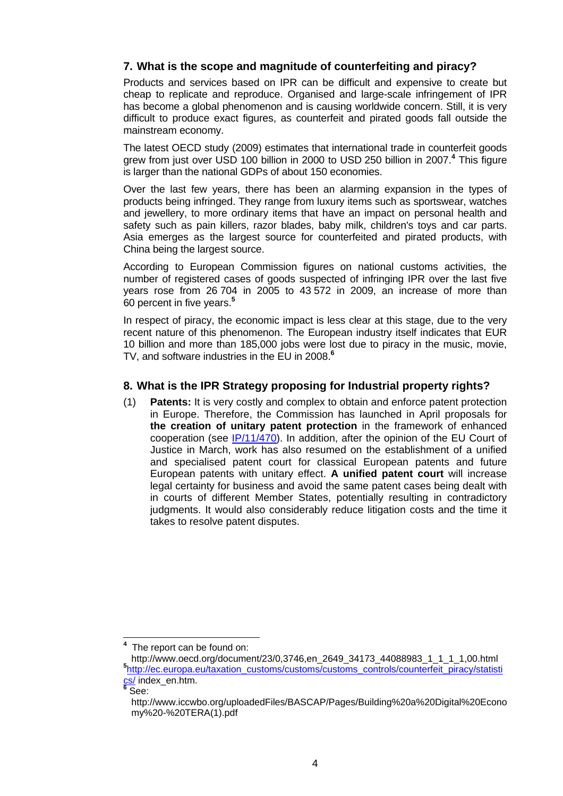# **7. What is the scope and magnitude of counterfeiting and piracy?**

Products and services based on IPR can be difficult and expensive to create but cheap to replicate and reproduce. Organised and large-scale infringement of IPR has become a global phenomenon and is causing worldwide concern. Still, it is very difficult to produce exact figures, as counterfeit and pirated goods fall outside the mainstream economy.

The latest OECD study (2009) estimates that international trade in counterfeit goods grew from just over USD 100 billion in 2000 to USD 250 billion in 2007.**<sup>4</sup>** This figure is larger than the national GDPs of about 150 economies.

Over the last few years, there has been an alarming expansion in the types of products being infringed. They range from luxury items such as sportswear, watches and jewellery, to more ordinary items that have an impact on personal health and safety such as pain killers, razor blades, baby milk, children's toys and car parts. Asia emerges as the largest source for counterfeited and pirated products, with China being the largest source.

According to European Commission figures on national customs activities, the number of registered cases of goods suspected of infringing IPR over the last five years rose from 26 704 in 2005 to 43 572 in 2009, an increase of more than 60 percent in five years.**<sup>5</sup>**

In respect of piracy, the economic impact is less clear at this stage, due to the very recent nature of this phenomenon. The European industry itself indicates that EUR 10 billion and more than 185,000 jobs were lost due to piracy in the music, movie, TV, and software industries in the EU in 2008.**<sup>6</sup>**

#### **8. What is the IPR Strategy proposing for Industrial property rights?**

(1) **Patents:** It is very costly and complex to obtain and enforce patent protection in Europe. Therefore, the Commission has launched in April proposals for **the creation of unitary patent protection** in the framework of enhanced cooperation (see [IP/11/470\)](http://europa.eu/rapid/pressReleasesAction.do?reference=IP/11/470&format=HTML&aged=0&language=EN&guiLanguage=en). In addition, after the opinion of the EU Court of Justice in March, work has also resumed on the establishment of a unified and specialised patent court for classical European patents and future European patents with unitary effect. **A unified patent court** will increase legal certainty for business and avoid the same patent cases being dealt with in courts of different Member States, potentially resulting in contradictory judgments. It would also considerably reduce litigation costs and the time it takes to resolve patent disputes.

 $\overline{a}$ 

**<sup>4</sup>** The report can be found on:

http://www.oecd.org/document/23/0,3746,en\_2649\_34173\_44088983\_1\_1\_1\_1,00.html **<sup>5</sup>** [http://ec.europa.eu/taxation\\_customs/customs/customs\\_controls/counterfeit\\_piracy/statisti](http://ec.europa.eu/taxation_customs/customs/customs_controls/counterfeit_piracy/statistics/) [cs/ i](http://ec.europa.eu/taxation_customs/customs/customs_controls/counterfeit_piracy/statistics/)ndex\_en.htm.

**<sup>6</sup>** See:

http://www.iccwbo.org/uploadedFiles/BASCAP/Pages/Building%20a%20Digital%20Econo my%20-%20TERA(1).pdf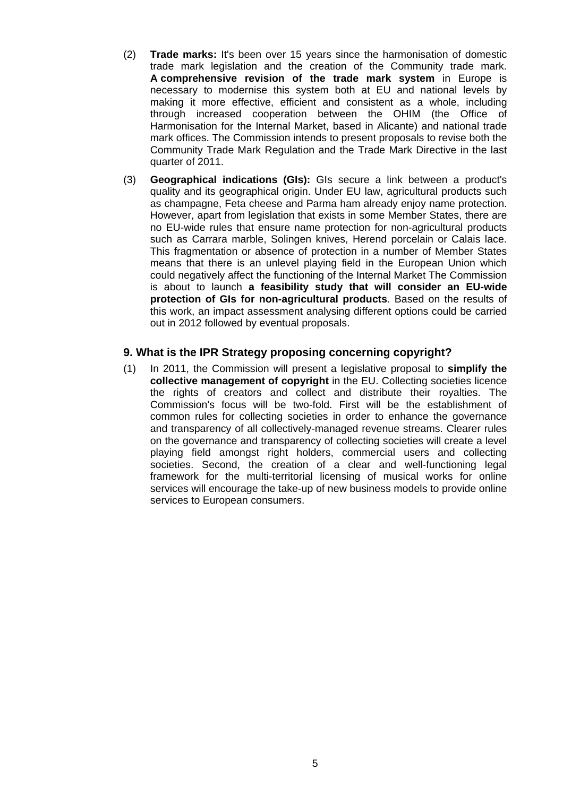- (2) **Trade marks:** It's been over 15 years since the harmonisation of domestic trade mark legislation and the creation of the Community trade mark. **A comprehensive revision of the trade mark system** in Europe is necessary to modernise this system both at EU and national levels by making it more effective, efficient and consistent as a whole, including through increased cooperation between the OHIM (the Office of Harmonisation for the Internal Market, based in Alicante) and national trade mark offices. The Commission intends to present proposals to revise both the Community Trade Mark Regulation and the Trade Mark Directive in the last quarter of 2011.
- (3) **Geographical indications (GIs):** GIs secure a link between a product's quality and its geographical origin. Under EU law, agricultural products such as champagne, Feta cheese and Parma ham already enjoy name protection. However, apart from legislation that exists in some Member States, there are no EU-wide rules that ensure name protection for non-agricultural products such as Carrara marble, Solingen knives, Herend porcelain or Calais lace. This fragmentation or absence of protection in a number of Member States means that there is an unlevel playing field in the European Union which could negatively affect the functioning of the Internal Market The Commission is about to launch **a feasibility study that will consider an EU-wide protection of GIs for non-agricultural products**. Based on the results of this work, an impact assessment analysing different options could be carried out in 2012 followed by eventual proposals.

#### **9. What is the IPR Strategy proposing concerning copyright?**

(1) In 2011, the Commission will present a legislative proposal to **simplify the collective management of copyright** in the EU. Collecting societies licence the rights of creators and collect and distribute their royalties. The Commission's focus will be two-fold. First will be the establishment of common rules for collecting societies in order to enhance the governance and transparency of all collectively-managed revenue streams. Clearer rules on the governance and transparency of collecting societies will create a level playing field amongst right holders, commercial users and collecting societies. Second, the creation of a clear and well-functioning legal framework for the multi-territorial licensing of musical works for online services will encourage the take-up of new business models to provide online services to European consumers.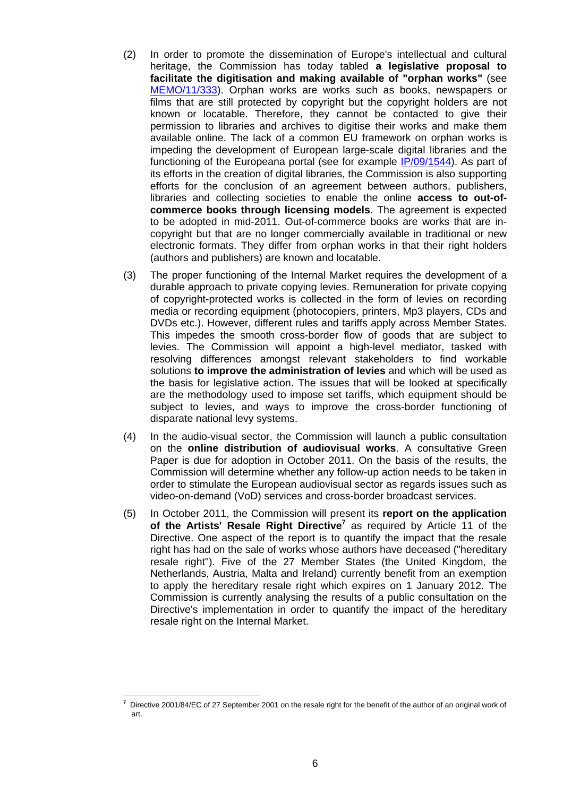- (2) In order to promote the dissemination of Europe's intellectual and cultural heritage, the Commission has today tabled **a legislative proposal to facilitate the digitisation and making available of "orphan works"** (see [MEMO/11/333\)](http://europa.eu/rapid/pressReleasesAction.do?reference=MEMO/11/333&format=HTML&aged=0&language=EN&guiLanguage=en). Orphan works are works such as books, newspapers or films that are still protected by copyright but the copyright holders are not known or locatable. Therefore, they cannot be contacted to give their permission to libraries and archives to digitise their works and make them available online. The lack of a common EU framework on orphan works is impeding the development of European large-scale digital libraries and the functioning of the Europeana portal (see for example [IP/09/1544\)](http://europa.eu/rapid/pressReleasesAction.do?reference=IP/09/1544&format=HTML&aged=0&language=EN&guiLanguage=en). As part of its efforts in the creation of digital libraries, the Commission is also supporting efforts for the conclusion of an agreement between authors, publishers, libraries and collecting societies to enable the online **access to out-ofcommerce books through licensing models**. The agreement is expected to be adopted in mid-2011. Out-of-commerce books are works that are incopyright but that are no longer commercially available in traditional or new electronic formats. They differ from orphan works in that their right holders (authors and publishers) are known and locatable.
- (3) The proper functioning of the Internal Market requires the development of a durable approach to private copying levies. Remuneration for private copying of copyright-protected works is collected in the form of levies on recording media or recording equipment (photocopiers, printers, Mp3 players, CDs and DVDs etc.). However, different rules and tariffs apply across Member States. This impedes the smooth cross-border flow of goods that are subject to levies. The Commission will appoint a high-level mediator, tasked with resolving differences amongst relevant stakeholders to find workable solutions **to improve the administration of levies** and which will be used as the basis for legislative action. The issues that will be looked at specifically are the methodology used to impose set tariffs, which equipment should be subject to levies, and ways to improve the cross-border functioning of disparate national levy systems.
- (4) In the audio-visual sector, the Commission will launch a public consultation on the **online distribution of audiovisual works**. A consultative Green Paper is due for adoption in October 2011. On the basis of the results, the Commission will determine whether any follow-up action needs to be taken in order to stimulate the European audiovisual sector as regards issues such as video-on-demand (VoD) services and cross-border broadcast services.
- (5) In October 2011, the Commission will present its **report on the application of the Artists' Resale Right Directive<sup>7</sup>** as required by Article 11 of the Directive. One aspect of the report is to quantify the impact that the resale right has had on the sale of works whose authors have deceased ("hereditary resale right"). Five of the 27 Member States (the United Kingdom, the Netherlands, Austria, Malta and Ireland) currently benefit from an exemption to apply the hereditary resale right which expires on 1 January 2012. The Commission is currently analysing the results of a public consultation on the Directive's implementation in order to quantify the impact of the hereditary resale right on the Internal Market.

 **7** Directive 2001/84/EC of 27 September 2001 on the resale right for the benefit of the author of an original work of art.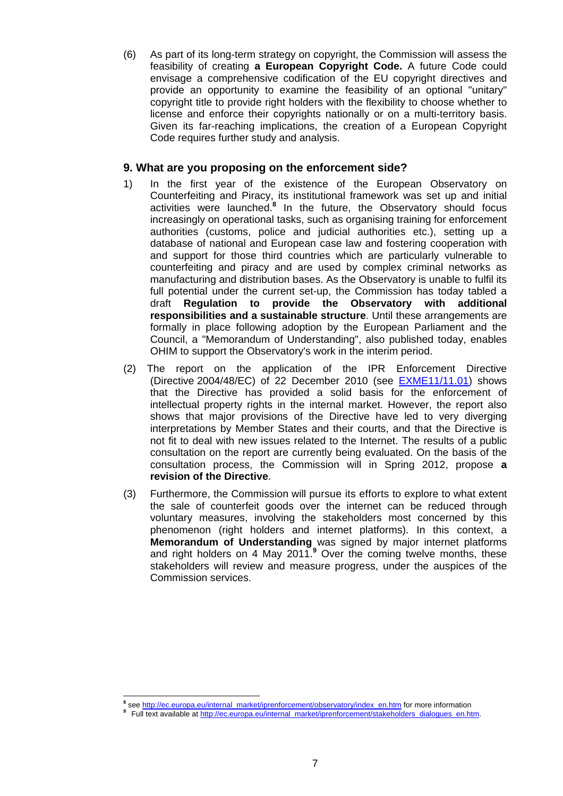(6) As part of its long-term strategy on copyright, the Commission will assess the feasibility of creating **a European Copyright Code.** A future Code could envisage a comprehensive codification of the EU copyright directives and provide an opportunity to examine the feasibility of an optional "unitary" copyright title to provide right holders with the flexibility to choose whether to license and enforce their copyrights nationally or on a multi-territory basis. Given its far-reaching implications, the creation of a European Copyright Code requires further study and analysis.

#### **9. What are you proposing on the enforcement side?**

- 1) In the first year of the existence of the European Observatory on Counterfeiting and Piracy, its institutional framework was set up and initial activities were launched.**<sup>8</sup>** In the future, the Observatory should focus increasingly on operational tasks, such as organising training for enforcement authorities (customs, police and judicial authorities etc.), setting up a database of national and European case law and fostering cooperation with and support for those third countries which are particularly vulnerable to counterfeiting and piracy and are used by complex criminal networks as manufacturing and distribution bases. As the Observatory is unable to fulfil its full potential under the current set-up, the Commission has today tabled a draft **Regulation to provide the Observatory with additional responsibilities and a sustainable structure**. Until these arrangements are formally in place following adoption by the European Parliament and the Council, a "Memorandum of Understanding", also published today, enables OHIM to support the Observatory's work in the interim period.
- (2) The report on the application of the IPR Enforcement Directive (Directive 2004/48/EC) of 22 December 2010 (see [EXME11/11.01\)](http://europa.eu/rapid/pressReleasesAction.do?reference=MEX/11/0111&format=HTML&aged=0&language=EN&guiLanguage=en) shows that the Directive has provided a solid basis for the enforcement of intellectual property rights in the internal market. However, the report also shows that major provisions of the Directive have led to very diverging interpretations by Member States and their courts, and that the Directive is not fit to deal with new issues related to the Internet. The results of a public consultation on the report are currently being evaluated. On the basis of the consultation process, the Commission will in Spring 2012, propose **a revision of the Directive**.
- (3) Furthermore, the Commission will pursue its efforts to explore to what extent the sale of counterfeit goods over the internet can be reduced through voluntary measures, involving the stakeholders most concerned by this phenomenon (right holders and internet platforms). In this context, a **Memorandum of Understanding** was signed by major internet platforms and right holders on 4 May 2011.**<sup>9</sup>** Over the coming twelve months, these stakeholders will review and measure progress, under the auspices of the Commission services.

 **8** se[e http://ec.europa.eu/internal\\_market/iprenforcement/observatory/index\\_en.htm f](http://ec.europa.eu/internal_market/iprenforcement/observatory/index_en.htm)or more information

Full text available at http://ec.europa.eu/internal\_market/iprenforcement/stakeholders\_dialogues\_en.htm.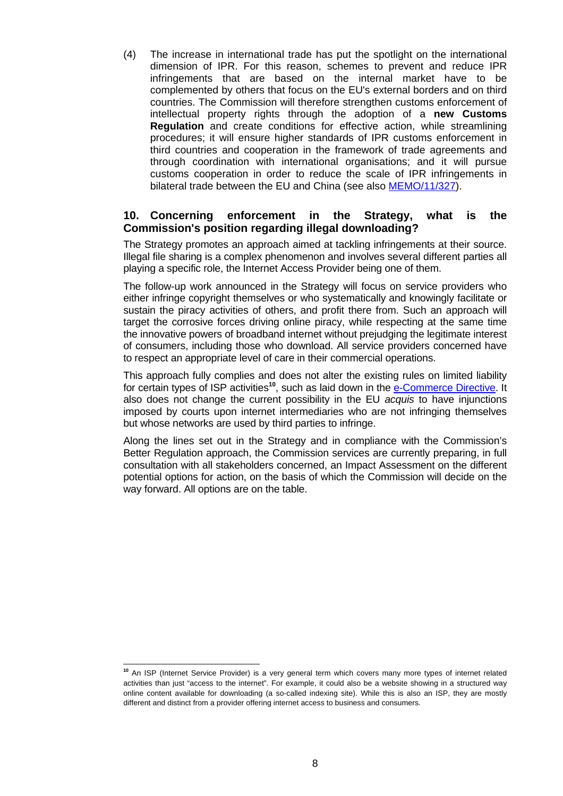(4) The increase in international trade has put the spotlight on the international dimension of IPR. For this reason, schemes to prevent and reduce IPR infringements that are based on the internal market have to be complemented by others that focus on the EU's external borders and on third countries. The Commission will therefore strengthen customs enforcement of intellectual property rights through the adoption of a **new Customs Regulation** and create conditions for effective action, while streamlining procedures; it will ensure higher standards of IPR customs enforcement in third countries and cooperation in the framework of trade agreements and through coordination with international organisations; and it will pursue customs cooperation in order to reduce the scale of IPR infringements in bilateral trade between the EU and China (see also [MEMO/11/327\)](http://europa.eu/rapid/pressReleasesAction.do?reference=MEMO/11/327&format=HTML&aged=0&language=EN&guiLanguage=en).

#### **10. Concerning enforcement in the Strategy, what is the Commission's position regarding illegal downloading?**

The Strategy promotes an approach aimed at tackling infringements at their source. Illegal file sharing is a complex phenomenon and involves several different parties all playing a specific role, the Internet Access Provider being one of them.

The follow-up work announced in the Strategy will focus on service providers who either infringe copyright themselves or who systematically and knowingly facilitate or sustain the piracy activities of others, and profit there from. Such an approach will target the corrosive forces driving online piracy, while respecting at the same time the innovative powers of broadband internet without prejudging the legitimate interest of consumers, including those who download. All service providers concerned have to respect an appropriate level of care in their commercial operations.

This approach fully complies and does not alter the existing rules on limited liability for certain types of ISP activities**<sup>10</sup>**, such as laid down in the [e-Commerce Directive.](http://ec.europa.eu/internal_market/e-commerce/index_en.htm) It also does not change the current possibility in the EU *acquis* to have injunctions imposed by courts upon internet intermediaries who are not infringing themselves but whose networks are used by third parties to infringe.

Along the lines set out in the Strategy and in compliance with the Commission's Better Regulation approach, the Commission services are currently preparing, in full consultation with all stakeholders concerned, an Impact Assessment on the different potential options for action, on the basis of which the Commission will decide on the way forward. All options are on the table.

 $\overline{a}$ **<sup>10</sup>** An ISP (Internet Service Provider) is a very general term which covers many more types of internet related activities than just "access to the internet". For example, it could also be a website showing in a structured way online content available for downloading (a so-called indexing site). While this is also an ISP, they are mostly different and distinct from a provider offering internet access to business and consumers.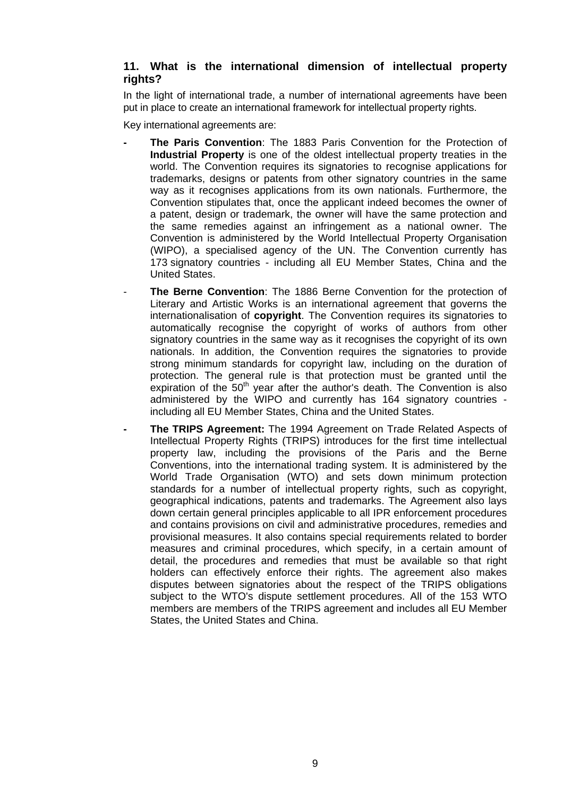# **11. What is the international dimension of intellectual property rights?**

In the light of international trade, a number of international agreements have been put in place to create an international framework for intellectual property rights.

Key international agreements are:

- **The Paris Convention**: The 1883 Paris Convention for the Protection of **Industrial Property** is one of the oldest intellectual property treaties in the world. The Convention requires its signatories to recognise applications for trademarks, designs or patents from other signatory countries in the same way as it recognises applications from its own nationals. Furthermore, the Convention stipulates that, once the applicant indeed becomes the owner of a patent, design or trademark, the owner will have the same protection and the same remedies against an infringement as a national owner. The Convention is administered by the World Intellectual Property Organisation (WIPO), a specialised agency of the UN. The Convention currently has 173 signatory countries - including all EU Member States, China and the United States.
- **The Berne Convention**: The 1886 Berne Convention for the protection of Literary and Artistic Works is an international agreement that governs the internationalisation of **copyright**. The Convention requires its signatories to automatically recognise the copyright of works of authors from other signatory countries in the same way as it recognises the copyright of its own nationals. In addition, the Convention requires the signatories to provide strong minimum standards for copyright law, including on the duration of protection. The general rule is that protection must be granted until the expiration of the  $50<sup>th</sup>$  year after the author's death. The Convention is also administered by the WIPO and currently has 164 signatory countries including all EU Member States, China and the United States.
- **The TRIPS Agreement:** The 1994 Agreement on Trade Related Aspects of Intellectual Property Rights (TRIPS) introduces for the first time intellectual property law, including the provisions of the Paris and the Berne Conventions, into the international trading system. It is administered by the World Trade Organisation (WTO) and sets down minimum protection standards for a number of intellectual property rights, such as copyright, geographical indications, patents and trademarks. The Agreement also lays down certain general principles applicable to all IPR enforcement procedures and contains provisions on civil and administrative procedures, remedies and provisional measures. It also contains special requirements related to border measures and criminal procedures, which specify, in a certain amount of detail, the procedures and remedies that must be available so that right holders can effectively enforce their rights. The agreement also makes disputes between signatories about the respect of the TRIPS obligations subject to the WTO's dispute settlement procedures. All of the 153 WTO members are members of the TRIPS agreement and includes all EU Member States, the United States and China.